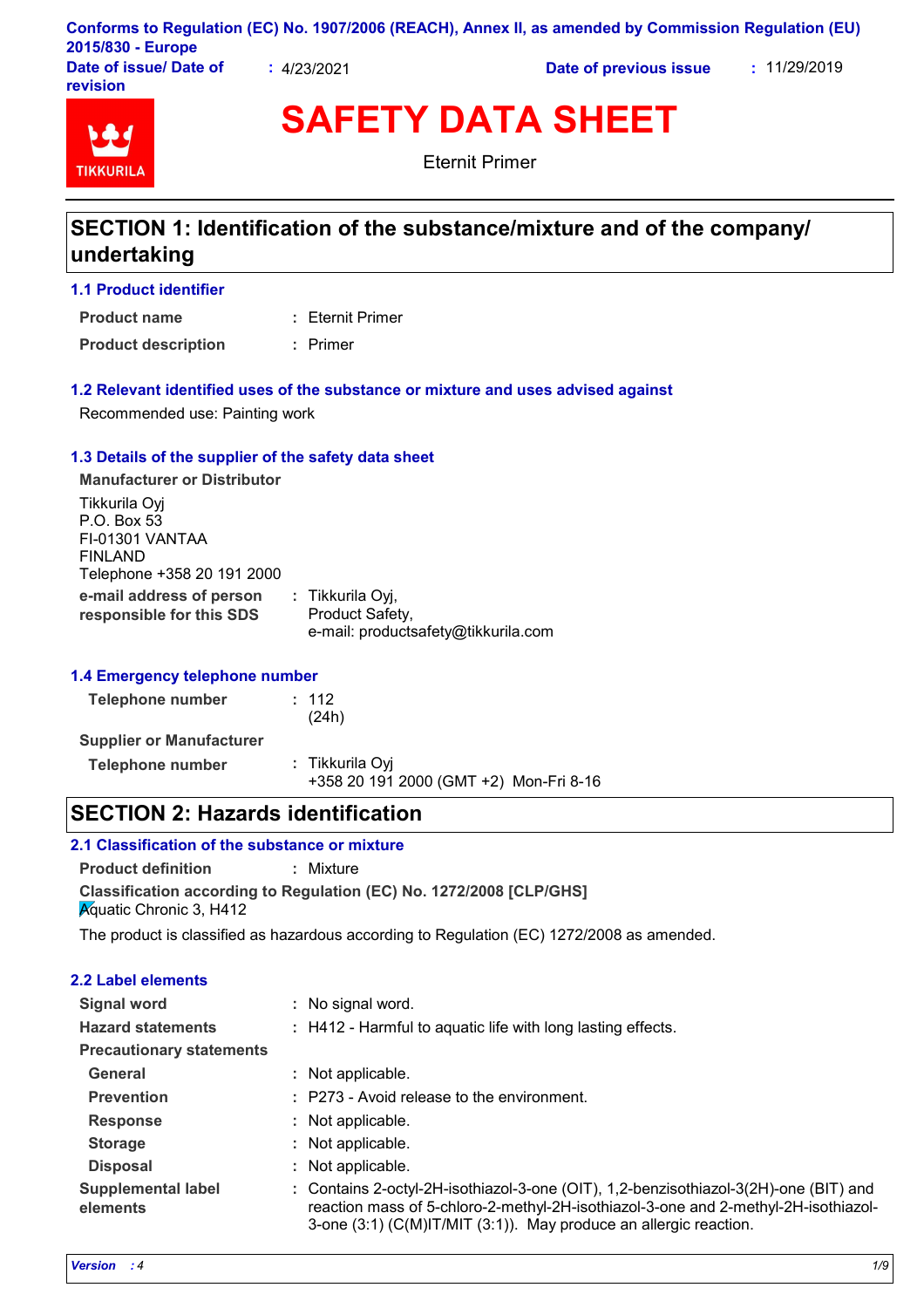| 2015/830 - Europe                  |           | Conforms to Regulation (EC) No. 1907/2006 (REACH), Annex II, as amended by Commission Regulation (EU) |              |  |
|------------------------------------|-----------|-------------------------------------------------------------------------------------------------------|--------------|--|
| Date of issue/ Date of<br>revision | 4/23/2021 | Date of previous issue                                                                                | : 11/29/2019 |  |

# **TIKKURIL**

**SAFETY DATA SHEET**

Eternit Primer

## **SECTION 1: Identification of the substance/mixture and of the company/ undertaking**

#### **1.1 Product identifier**

Eternit Primer **: Product name**

**Product description :** Primer

#### **1.2 Relevant identified uses of the substance or mixture and uses advised against**

Recommended use: Painting work

#### **1.3 Details of the supplier of the safety data sheet**

**e-mail address of person responsible for this SDS :** Tikkurila Oyj, Product Safety, e-mail: productsafety@tikkurila.com **Manufacturer or Distributor** Tikkurila Oyj P.O. Box 53 FI-01301 VANTAA FINLAND Telephone +358 20 191 2000

#### **1.4 Emergency telephone number**

| Telephone number                | : 112<br>(24h)                                            |  |
|---------------------------------|-----------------------------------------------------------|--|
| <b>Supplier or Manufacturer</b> |                                                           |  |
| Telephone number                | : Tikkurila Oyi<br>+358 20 191 2000 (GMT +2) Mon-Fri 8-16 |  |

## **SECTION 2: Hazards identification**

### **2.1 Classification of the substance or mixture**

**Product definition :** Mixture

**Classification according to Regulation (EC) No. 1272/2008 [CLP/GHS] Aguatic Chronic 3, H412** 

The product is classified as hazardous according to Regulation (EC) 1272/2008 as amended.

| <b>2.2 Label elements</b>             |                                                                                                                                                                                                                                                 |
|---------------------------------------|-------------------------------------------------------------------------------------------------------------------------------------------------------------------------------------------------------------------------------------------------|
| Signal word                           | : No signal word.                                                                                                                                                                                                                               |
| <b>Hazard statements</b>              | : H412 - Harmful to aquatic life with long lasting effects.                                                                                                                                                                                     |
| <b>Precautionary statements</b>       |                                                                                                                                                                                                                                                 |
| <b>General</b>                        | : Not applicable.                                                                                                                                                                                                                               |
| <b>Prevention</b>                     | : P273 - Avoid release to the environment.                                                                                                                                                                                                      |
| <b>Response</b>                       | : Not applicable.                                                                                                                                                                                                                               |
| <b>Storage</b>                        | : Not applicable.                                                                                                                                                                                                                               |
| <b>Disposal</b>                       | : Not applicable.                                                                                                                                                                                                                               |
| <b>Supplemental label</b><br>elements | : Contains 2-octyl-2H-isothiazol-3-one (OIT), 1,2-benzisothiazol-3(2H)-one (BIT) and<br>reaction mass of 5-chloro-2-methyl-2H-isothiazol-3-one and 2-methyl-2H-isothiazol-<br>3-one (3:1) (C(M)IT/MIT (3:1)). May produce an allergic reaction. |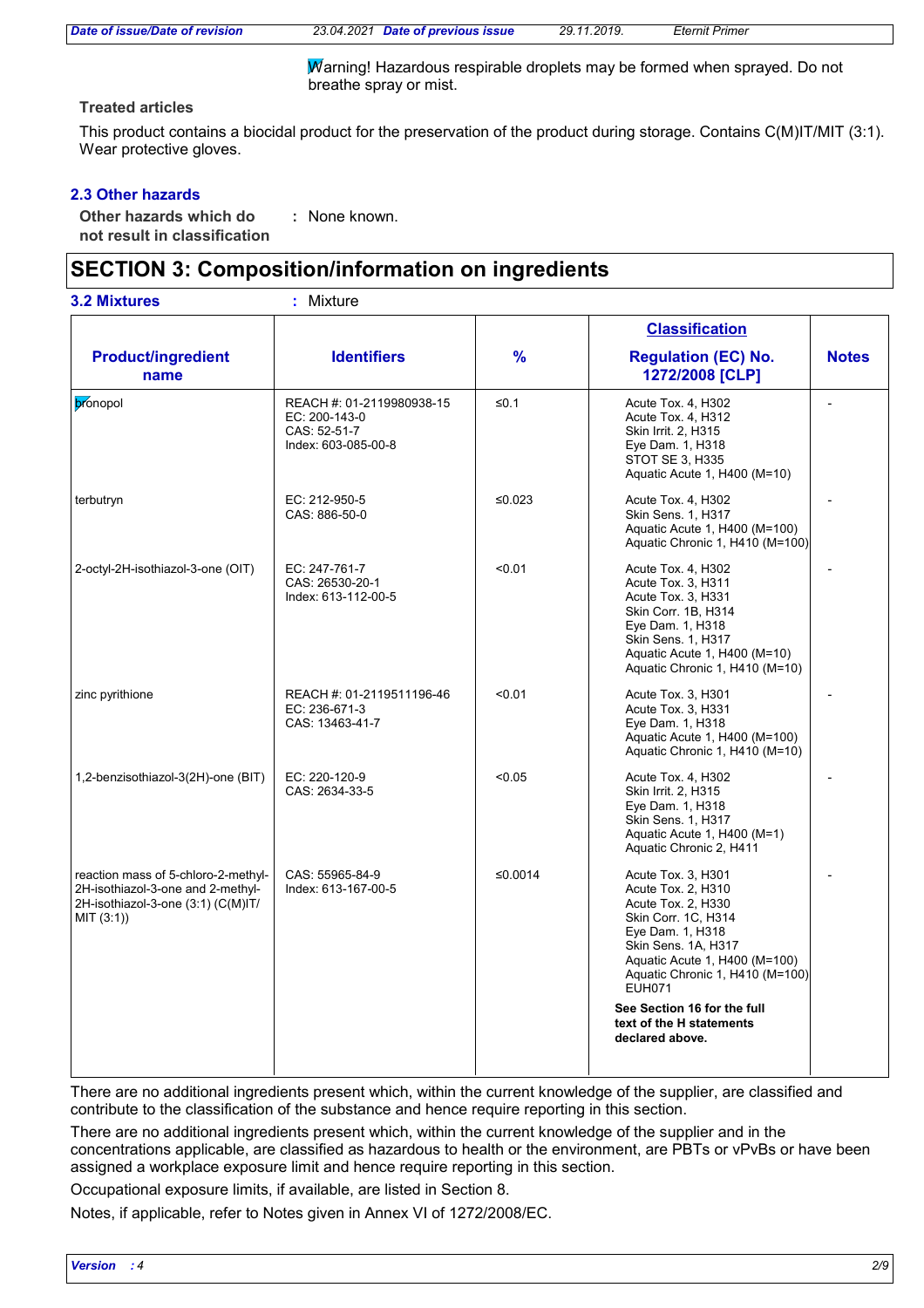*Date of issue/Date of revision 23.04.2021 Date of previous issue 29.11.2019. Eternit Primer*

Warning! Hazardous respirable droplets may be formed when sprayed. Do not breathe spray or mist.

#### **Treated articles**

This product contains a biocidal product for the preservation of the product during storage. Contains C(M)IT/MIT (3:1). Wear protective gloves.

#### **2.3 Other hazards**

**Other hazards which do : not result in classification** : None known.

## **SECTION 3: Composition/information on ingredients**

|                                                                                                                              |                                                                                   |               | <b>Classification</b>                                                                                                                                                                                                 |              |
|------------------------------------------------------------------------------------------------------------------------------|-----------------------------------------------------------------------------------|---------------|-----------------------------------------------------------------------------------------------------------------------------------------------------------------------------------------------------------------------|--------------|
| <b>Product/ingredient</b><br>name                                                                                            | <b>Identifiers</b>                                                                | $\frac{9}{6}$ | <b>Regulation (EC) No.</b><br>1272/2008 [CLP]                                                                                                                                                                         | <b>Notes</b> |
| bronopol                                                                                                                     | REACH #: 01-2119980938-15<br>EC: 200-143-0<br>CAS: 52-51-7<br>Index: 603-085-00-8 | $≤0.1$        | Acute Tox. 4, H302<br>Acute Tox. 4, H312<br>Skin Irrit. 2, H315<br>Eye Dam. 1, H318<br>STOT SE 3, H335<br>Aquatic Acute 1, H400 (M=10)                                                                                |              |
| terbutryn                                                                                                                    | EC: 212-950-5<br>CAS: 886-50-0                                                    | ≤0.023        | Acute Tox. 4, H302<br><b>Skin Sens. 1, H317</b><br>Aquatic Acute 1, H400 (M=100)<br>Aquatic Chronic 1, H410 (M=100)                                                                                                   |              |
| 2-octyl-2H-isothiazol-3-one (OIT)                                                                                            | EC: 247-761-7<br>CAS: 26530-20-1<br>Index: 613-112-00-5                           | < 0.01        | Acute Tox. 4, H302<br>Acute Tox. 3, H311<br>Acute Tox. 3, H331<br>Skin Corr. 1B, H314<br>Eye Dam. 1, H318<br>Skin Sens. 1, H317<br>Aquatic Acute 1, H400 (M=10)<br>Aquatic Chronic 1, H410 (M=10)                     |              |
| zinc pyrithione                                                                                                              | REACH #: 01-2119511196-46<br>EC: 236-671-3<br>CAS: 13463-41-7                     | < 0.01        | Acute Tox. 3, H301<br>Acute Tox. 3, H331<br>Eye Dam. 1, H318<br>Aquatic Acute 1, H400 (M=100)<br>Aquatic Chronic 1, H410 (M=10)                                                                                       |              |
| 1,2-benzisothiazol-3(2H)-one (BIT)                                                                                           | EC: 220-120-9<br>CAS: 2634-33-5                                                   | < 0.05        | Acute Tox. 4, H302<br>Skin Irrit. 2, H315<br>Eye Dam. 1, H318<br>Skin Sens. 1, H317<br>Aquatic Acute 1, H400 (M=1)<br>Aquatic Chronic 2, H411                                                                         |              |
| reaction mass of 5-chloro-2-methyl-<br>2H-isothiazol-3-one and 2-methyl-<br>2H-isothiazol-3-one (3:1) (C(M)IT/<br>MIT (3:1)) | CAS: 55965-84-9<br>Index: 613-167-00-5                                            | ≤0.0014       | Acute Tox. 3, H301<br>Acute Tox. 2, H310<br>Acute Tox. 2, H330<br>Skin Corr. 1C, H314<br>Eye Dam. 1, H318<br>Skin Sens. 1A, H317<br>Aquatic Acute 1, H400 (M=100)<br>Aquatic Chronic 1, H410 (M=100)<br><b>EUH071</b> |              |
|                                                                                                                              |                                                                                   |               | See Section 16 for the full<br>text of the H statements<br>declared above.                                                                                                                                            |              |

There are no additional ingredients present which, within the current knowledge of the supplier, are classified and contribute to the classification of the substance and hence require reporting in this section.

There are no additional ingredients present which, within the current knowledge of the supplier and in the concentrations applicable, are classified as hazardous to health or the environment, are PBTs or vPvBs or have been assigned a workplace exposure limit and hence require reporting in this section.

Occupational exposure limits, if available, are listed in Section 8.

Notes, if applicable, refer to Notes given in Annex VI of 1272/2008/EC.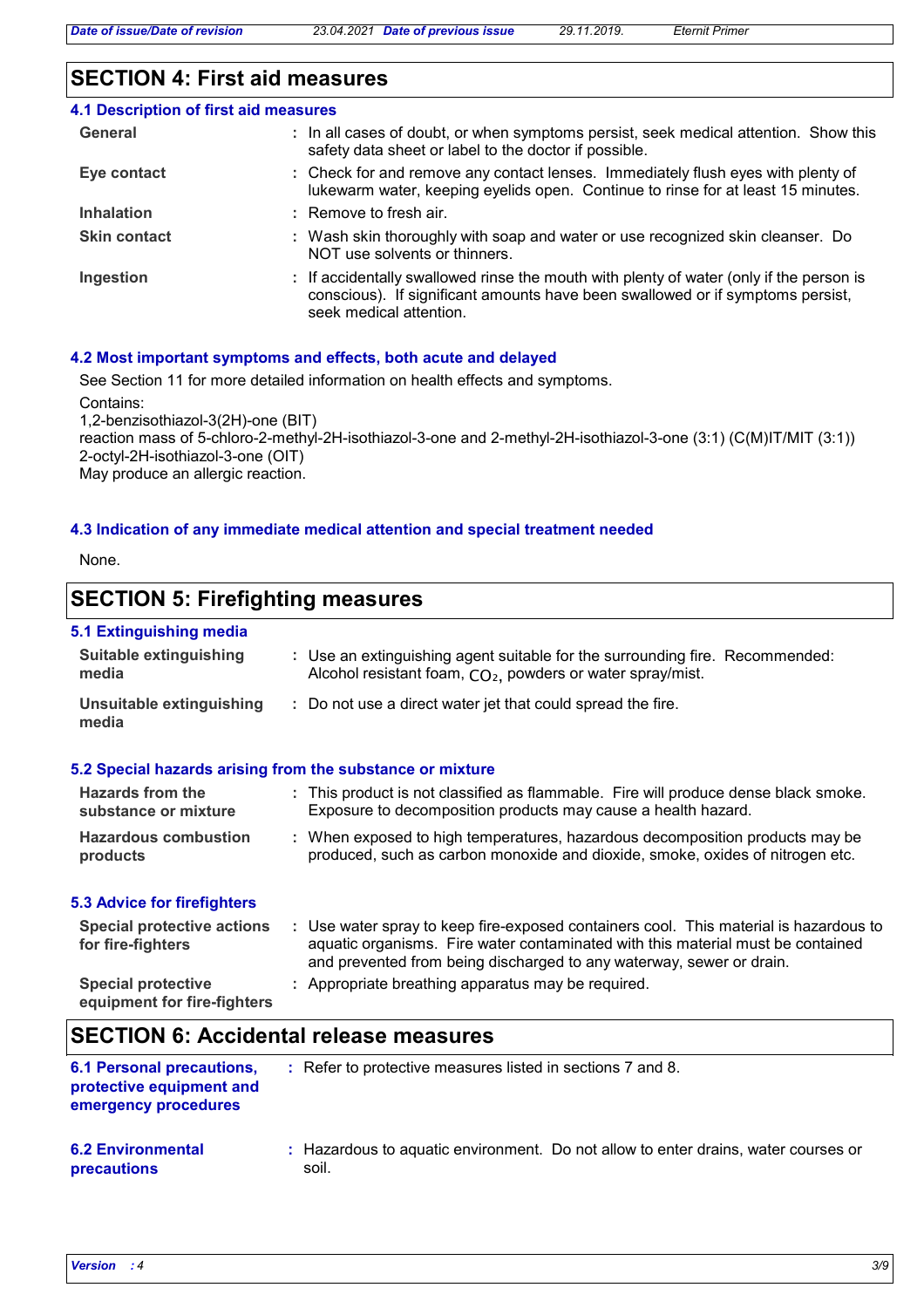## **SECTION 4: First aid measures**

| <b>4.1 Description of first aid measures</b> |                                                                                                                                                                                                      |
|----------------------------------------------|------------------------------------------------------------------------------------------------------------------------------------------------------------------------------------------------------|
| General                                      | : In all cases of doubt, or when symptoms persist, seek medical attention. Show this<br>safety data sheet or label to the doctor if possible.                                                        |
| Eye contact                                  | : Check for and remove any contact lenses. Immediately flush eyes with plenty of<br>lukewarm water, keeping eyelids open. Continue to rinse for at least 15 minutes.                                 |
| <b>Inhalation</b>                            | $:$ Remove to fresh air.                                                                                                                                                                             |
| <b>Skin contact</b>                          | : Wash skin thoroughly with soap and water or use recognized skin cleanser. Do<br>NOT use solvents or thinners.                                                                                      |
| Ingestion                                    | : If accidentally swallowed rinse the mouth with plenty of water (only if the person is<br>conscious). If significant amounts have been swallowed or if symptoms persist,<br>seek medical attention. |

#### **4.2 Most important symptoms and effects, both acute and delayed**

See Section 11 for more detailed information on health effects and symptoms.

Contains:

1,2-benzisothiazol-3(2H)-one (BIT)

reaction mass of 5-chloro-2-methyl-2H-isothiazol-3-one and 2-methyl-2H-isothiazol-3-one (3:1) (C(M)IT/MIT (3:1)) 2-octyl-2H-isothiazol-3-one (OIT) May produce an allergic reaction.

#### **4.3 Indication of any immediate medical attention and special treatment needed**

None.

## **SECTION 5: Firefighting measures**

### **5.1 Extinguishing media**

| <b>Suitable extinguishing</b><br>media                   | : Use an extinguishing agent suitable for the surrounding fire. Recommended:<br>Alcohol resistant foam, CO <sub>2</sub> , powders or water spray/mist.                                                                                           |
|----------------------------------------------------------|--------------------------------------------------------------------------------------------------------------------------------------------------------------------------------------------------------------------------------------------------|
| Unsuitable extinguishing<br>media                        | : Do not use a direct water jet that could spread the fire.                                                                                                                                                                                      |
|                                                          | 5.2 Special hazards arising from the substance or mixture                                                                                                                                                                                        |
| Hazards from the<br>substance or mixture                 | : This product is not classified as flammable. Fire will produce dense black smoke.<br>Exposure to decomposition products may cause a health hazard.                                                                                             |
| <b>Hazardous combustion</b><br>products                  | : When exposed to high temperatures, hazardous decomposition products may be<br>produced, such as carbon monoxide and dioxide, smoke, oxides of nitrogen etc.                                                                                    |
| <b>5.3 Advice for firefighters</b>                       |                                                                                                                                                                                                                                                  |
| <b>Special protective actions</b><br>for fire-fighters   | : Use water spray to keep fire-exposed containers cool. This material is hazardous to<br>aquatic organisms. Fire water contaminated with this material must be contained<br>and prevented from being discharged to any waterway, sewer or drain. |
| <b>Special protective</b><br>equipment for fire-fighters | : Appropriate breathing apparatus may be required.                                                                                                                                                                                               |
|                                                          |                                                                                                                                                                                                                                                  |

## **SECTION 6: Accidental release measures**

| <b>6.1 Personal precautions,</b><br>protective equipment and<br>emergency procedures | : Refer to protective measures listed in sections 7 and 8.                                  |
|--------------------------------------------------------------------------------------|---------------------------------------------------------------------------------------------|
| <b>6.2 Environmental</b><br>precautions                                              | : Hazardous to aguatic environment. Do not allow to enter drains, water courses or<br>soil. |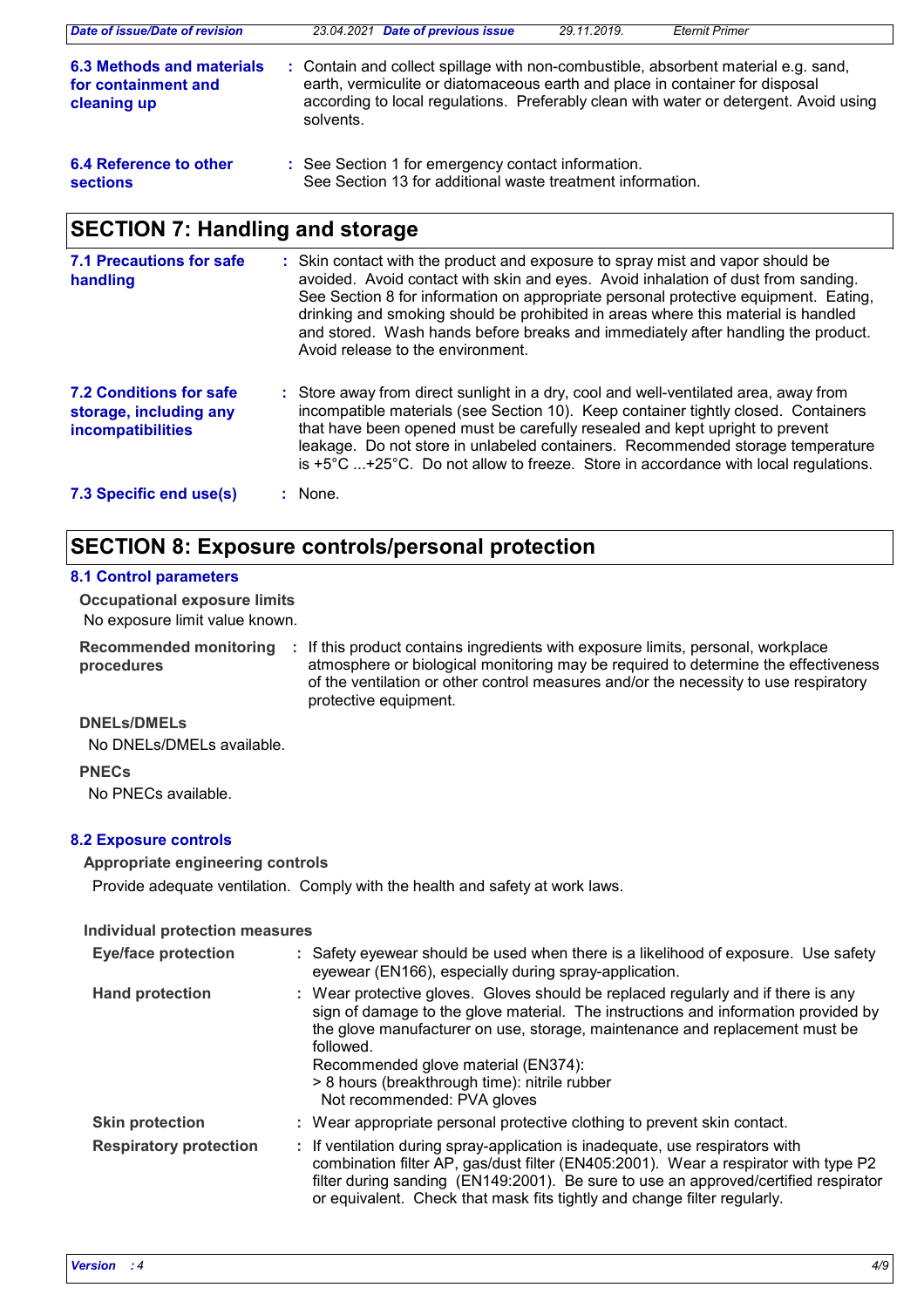| Date of issue/Date of revision                                  |           | 23.04.2021 Date of previous issue                                                                                | 29.11.2019. | <b>Eternit Primer</b>                                                                                                                                                                                                                                       |
|-----------------------------------------------------------------|-----------|------------------------------------------------------------------------------------------------------------------|-------------|-------------------------------------------------------------------------------------------------------------------------------------------------------------------------------------------------------------------------------------------------------------|
| 6.3 Methods and materials<br>for containment and<br>cleaning up | solvents. |                                                                                                                  |             | : Contain and collect spillage with non-combustible, absorbent material e.g. sand,<br>earth, vermiculite or diatomaceous earth and place in container for disposal<br>according to local regulations. Preferably clean with water or detergent. Avoid using |
| 6.4 Reference to other<br><b>sections</b>                       |           | : See Section 1 for emergency contact information.<br>See Section 13 for additional waste treatment information. |             |                                                                                                                                                                                                                                                             |

## **SECTION 7: Handling and storage**

| 7.1 Precautions for safe<br>handling                                          | : Skin contact with the product and exposure to spray mist and vapor should be<br>avoided. Avoid contact with skin and eyes. Avoid inhalation of dust from sanding.<br>See Section 8 for information on appropriate personal protective equipment. Eating,<br>drinking and smoking should be prohibited in areas where this material is handled<br>and stored. Wash hands before breaks and immediately after handling the product.<br>Avoid release to the environment. |
|-------------------------------------------------------------------------------|--------------------------------------------------------------------------------------------------------------------------------------------------------------------------------------------------------------------------------------------------------------------------------------------------------------------------------------------------------------------------------------------------------------------------------------------------------------------------|
| <b>7.2 Conditions for safe</b><br>storage, including any<br>incompatibilities | : Store away from direct sunlight in a dry, cool and well-ventilated area, away from<br>incompatible materials (see Section 10). Keep container tightly closed. Containers<br>that have been opened must be carefully resealed and kept upright to prevent<br>leakage. Do not store in unlabeled containers. Recommended storage temperature<br>is $+5^{\circ}$ C +25°C. Do not allow to freeze. Store in accordance with local regulations.                             |
| 7.3 Specific end use(s)                                                       | : None.                                                                                                                                                                                                                                                                                                                                                                                                                                                                  |

## **SECTION 8: Exposure controls/personal protection**

#### **8.1 Control parameters**

No exposure limit value known. **Occupational exposure limits**

**procedures**

Recommended monitoring : If this product contains ingredients with exposure limits, personal, workplace atmosphere or biological monitoring may be required to determine the effectiveness of the ventilation or other control measures and/or the necessity to use respiratory protective equipment.

**DNELs/DMELs**

No DNELs/DMELs available.

**PNECs**

No PNECs available.

#### **8.2 Exposure controls**

**Appropriate engineering controls**

Provide adequate ventilation. Comply with the health and safety at work laws.

#### **Individual protection measures**

| <b>Eye/face protection</b>    | : Safety eyewear should be used when there is a likelihood of exposure. Use safety<br>eyewear (EN166), especially during spray-application.                                                                                                                                                                                                                                                |
|-------------------------------|--------------------------------------------------------------------------------------------------------------------------------------------------------------------------------------------------------------------------------------------------------------------------------------------------------------------------------------------------------------------------------------------|
| <b>Hand protection</b>        | : Wear protective gloves. Gloves should be replaced regularly and if there is any<br>sign of damage to the glove material. The instructions and information provided by<br>the glove manufacturer on use, storage, maintenance and replacement must be<br>followed.<br>Recommended glove material (EN374):<br>> 8 hours (breakthrough time): nitrile rubber<br>Not recommended: PVA gloves |
| <b>Skin protection</b>        | : Wear appropriate personal protective clothing to prevent skin contact.                                                                                                                                                                                                                                                                                                                   |
| <b>Respiratory protection</b> | : If ventilation during spray-application is inadequate, use respirators with<br>combination filter AP, gas/dust filter (EN405:2001). Wear a respirator with type P2<br>filter during sanding (EN149:2001). Be sure to use an approved/certified respirator<br>or equivalent. Check that mask fits tightly and change filter regularly.                                                    |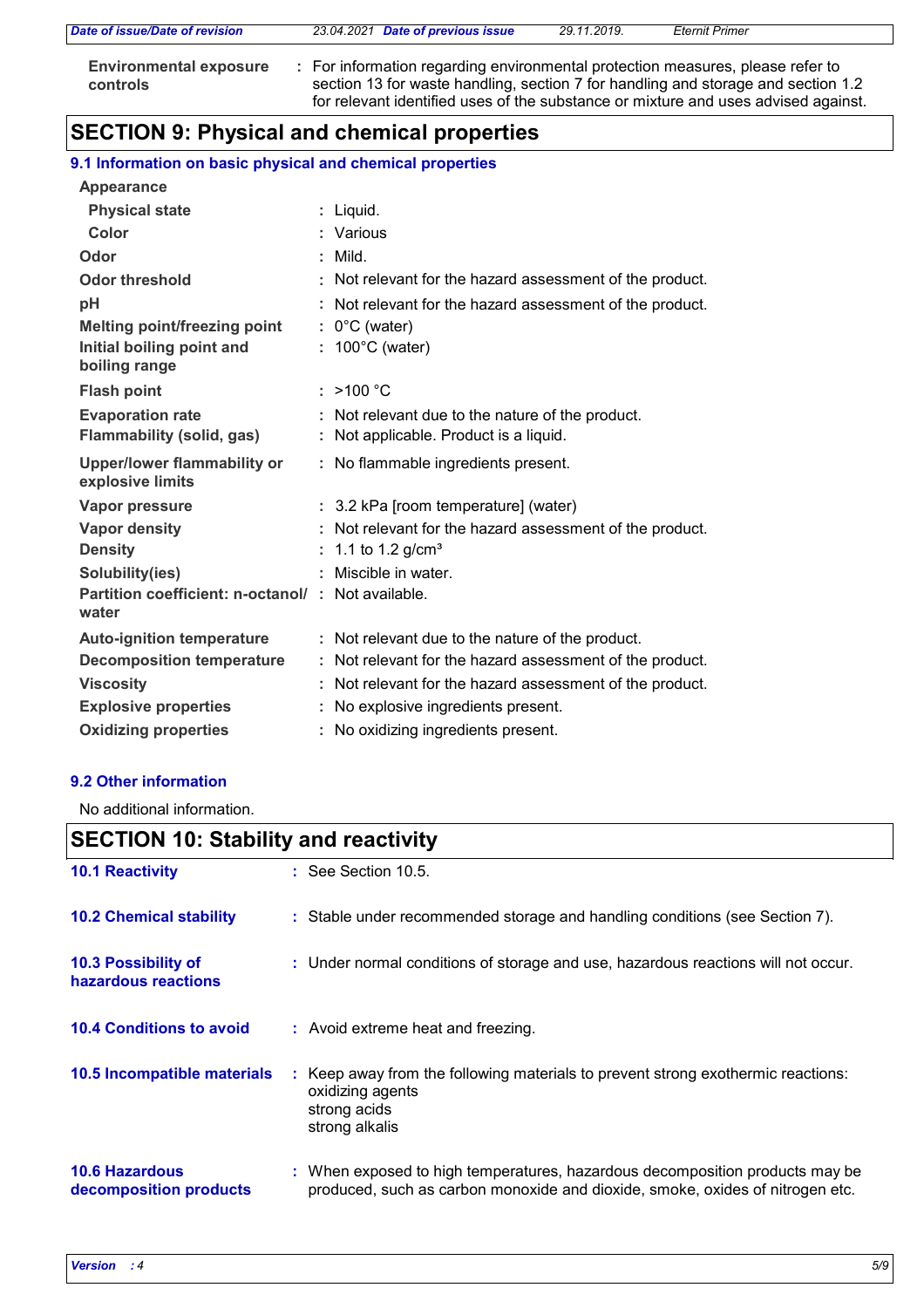| Date of issue/Date of revision                   | 23.04.2021 Date of previous issue                                                                                                                                                                                                                         | 29.11.2019. | <b>Eternit Primer</b> |  |
|--------------------------------------------------|-----------------------------------------------------------------------------------------------------------------------------------------------------------------------------------------------------------------------------------------------------------|-------------|-----------------------|--|
| <b>Environmental exposure</b><br><b>controls</b> | : For information regarding environmental protection measures, please refer to<br>section 13 for waste handling, section 7 for handling and storage and section 1.2<br>for relevant identified uses of the substance or mixture and uses advised against. |             |                       |  |

## **SECTION 9: Physical and chemical properties**

#### **9.1 Information on basic physical and chemical properties**

| <b>Appearance</b>                                          |   |                                                          |
|------------------------------------------------------------|---|----------------------------------------------------------|
| <b>Physical state</b>                                      |   | Liquid.                                                  |
| Color                                                      |   | : Various                                                |
| Odor                                                       |   | Mild.                                                    |
| <b>Odor threshold</b>                                      |   | : Not relevant for the hazard assessment of the product. |
| рH                                                         |   | Not relevant for the hazard assessment of the product.   |
| <b>Melting point/freezing point</b>                        |   | $: 0^{\circ}$ C (water)                                  |
| Initial boiling point and<br>boiling range                 |   | $: 100^{\circ}$ C (water)                                |
| <b>Flash point</b>                                         |   | : $>100 °C$                                              |
| <b>Evaporation rate</b>                                    |   | : Not relevant due to the nature of the product.         |
| <b>Flammability (solid, gas)</b>                           |   | : Not applicable. Product is a liquid.                   |
| <b>Upper/lower flammability or</b><br>explosive limits     |   | : No flammable ingredients present.                      |
| Vapor pressure                                             |   | : 3.2 kPa [room temperature] (water)                     |
| <b>Vapor density</b>                                       |   | : Not relevant for the hazard assessment of the product. |
| <b>Density</b>                                             |   | : 1.1 to 1.2 g/cm <sup>3</sup>                           |
| Solubility(ies)                                            |   | : Miscible in water.                                     |
| Partition coefficient: n-octanol/: Not available.<br>water |   |                                                          |
| <b>Auto-ignition temperature</b>                           |   | : Not relevant due to the nature of the product.         |
| <b>Decomposition temperature</b>                           |   | Not relevant for the hazard assessment of the product.   |
| <b>Viscosity</b>                                           |   | Not relevant for the hazard assessment of the product.   |
| <b>Explosive properties</b>                                | ÷ | No explosive ingredients present.                        |
| <b>Oxidizing properties</b>                                |   | : No oxidizing ingredients present.                      |

#### **9.2 Other information**

No additional information.

## **SECTION 10: Stability and reactivity**

| <b>10.1 Reactivity</b>                          | $\therefore$ See Section 10.5.                                                                                                                                |
|-------------------------------------------------|---------------------------------------------------------------------------------------------------------------------------------------------------------------|
| <b>10.2 Chemical stability</b>                  | : Stable under recommended storage and handling conditions (see Section 7).                                                                                   |
| 10.3 Possibility of<br>hazardous reactions      | : Under normal conditions of storage and use, hazardous reactions will not occur.                                                                             |
| <b>10.4 Conditions to avoid</b>                 | : Avoid extreme heat and freezing.                                                                                                                            |
| 10.5 Incompatible materials                     | : Keep away from the following materials to prevent strong exothermic reactions:<br>oxidizing agents<br>strong acids<br>strong alkalis                        |
| <b>10.6 Hazardous</b><br>decomposition products | : When exposed to high temperatures, hazardous decomposition products may be<br>produced, such as carbon monoxide and dioxide, smoke, oxides of nitrogen etc. |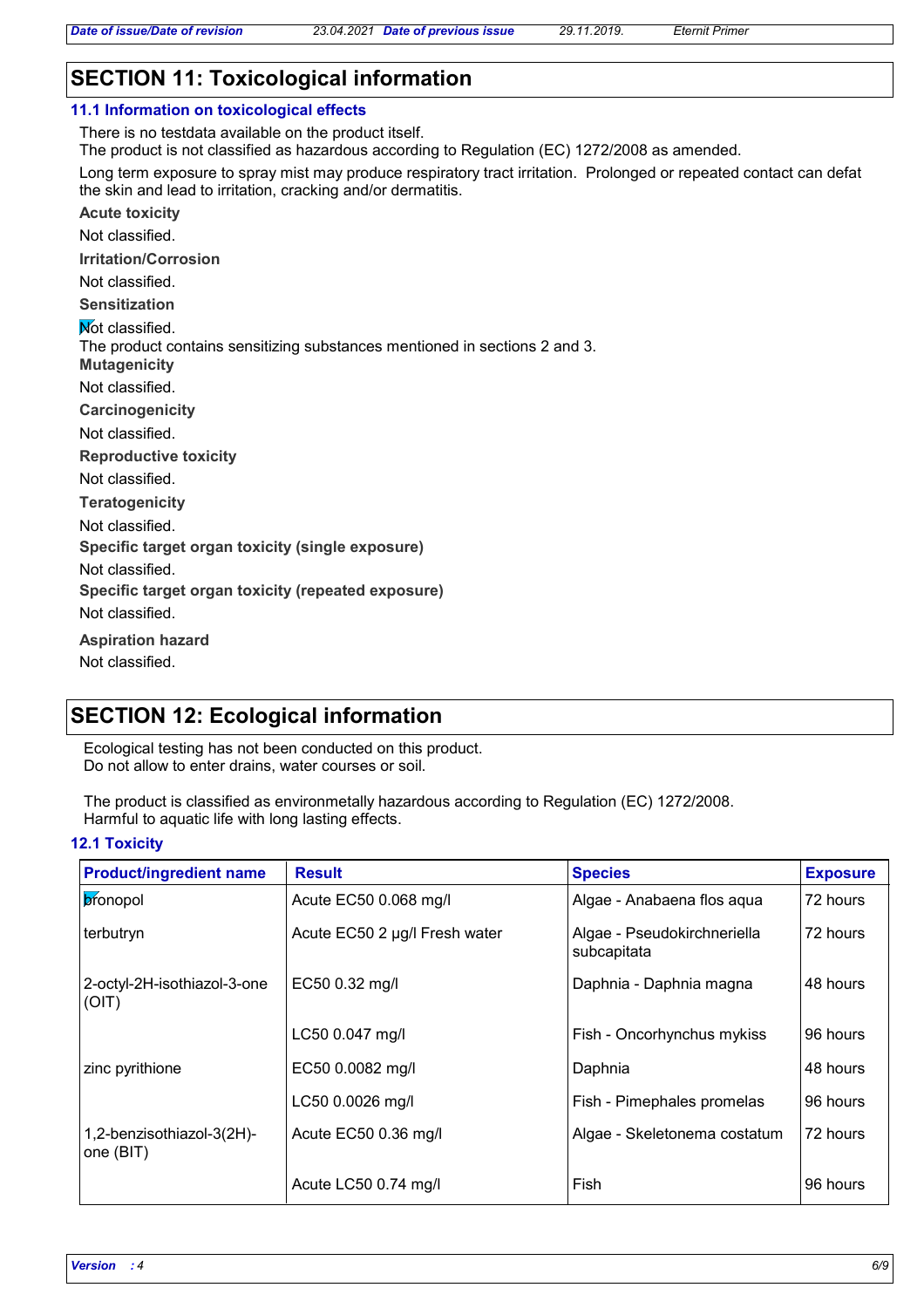## **SECTION 11: Toxicological information**

| 11.1 Information on toxicological effects                                                                                                                                          |
|------------------------------------------------------------------------------------------------------------------------------------------------------------------------------------|
| There is no testdata available on the product itself.                                                                                                                              |
| The product is not classified as hazardous according to Regulation (EC) 1272/2008 as amended.                                                                                      |
| Long term exposure to spray mist may produce respiratory tract irritation. Prolonged or repeated contact can defat<br>the skin and lead to irritation, cracking and/or dermatitis. |
| <b>Acute toxicity</b>                                                                                                                                                              |
| Not classified.                                                                                                                                                                    |
| <b>Irritation/Corrosion</b>                                                                                                                                                        |
| Not classified.                                                                                                                                                                    |
| <b>Sensitization</b>                                                                                                                                                               |
| <b>Not classified.</b>                                                                                                                                                             |
| The product contains sensitizing substances mentioned in sections 2 and 3.                                                                                                         |
| <b>Mutagenicity</b>                                                                                                                                                                |
| Not classified.                                                                                                                                                                    |
| Carcinogenicity                                                                                                                                                                    |
| Not classified.                                                                                                                                                                    |
| <b>Reproductive toxicity</b>                                                                                                                                                       |
| Not classified.                                                                                                                                                                    |
| <b>Teratogenicity</b>                                                                                                                                                              |
| Not classified.                                                                                                                                                                    |
| Specific target organ toxicity (single exposure)                                                                                                                                   |
| Not classified.                                                                                                                                                                    |
| Specific target organ toxicity (repeated exposure)                                                                                                                                 |
| Not classified.                                                                                                                                                                    |
| <b>Aspiration hazard</b>                                                                                                                                                           |
| Not classified.                                                                                                                                                                    |
|                                                                                                                                                                                    |

## **SECTION 12: Ecological information**

Ecological testing has not been conducted on this product. Do not allow to enter drains, water courses or soil.

The product is classified as environmetally hazardous according to Regulation (EC) 1272/2008. Harmful to aquatic life with long lasting effects.

#### **12.1 Toxicity**

| <b>Product/ingredient name</b>         | <b>Result</b>                 | <b>Species</b>                             | <b>Exposure</b> |
|----------------------------------------|-------------------------------|--------------------------------------------|-----------------|
| bronopol                               | Acute EC50 0.068 mg/l         | Algae - Anabaena flos aqua                 | 72 hours        |
| terbutryn                              | Acute EC50 2 µg/l Fresh water | Algae - Pseudokirchneriella<br>subcapitata | 72 hours        |
| 2-octyl-2H-isothiazol-3-one<br>(OIT)   | EC50 0.32 mg/l                | Daphnia - Daphnia magna                    | 48 hours        |
|                                        | LC50 0.047 mg/l               | Fish - Oncorhynchus mykiss                 | 96 hours        |
| zinc pyrithione                        | EC50 0.0082 mg/l              | Daphnia                                    | 48 hours        |
|                                        | LC50 0.0026 mg/l              | Fish - Pimephales promelas                 | 96 hours        |
| 1,2-benzisothiazol-3(2H)-<br>one (BIT) | Acute EC50 0.36 mg/l          | Algae - Skeletonema costatum               | 72 hours        |
|                                        | Acute LC50 0.74 mg/l          | Fish                                       | 96 hours        |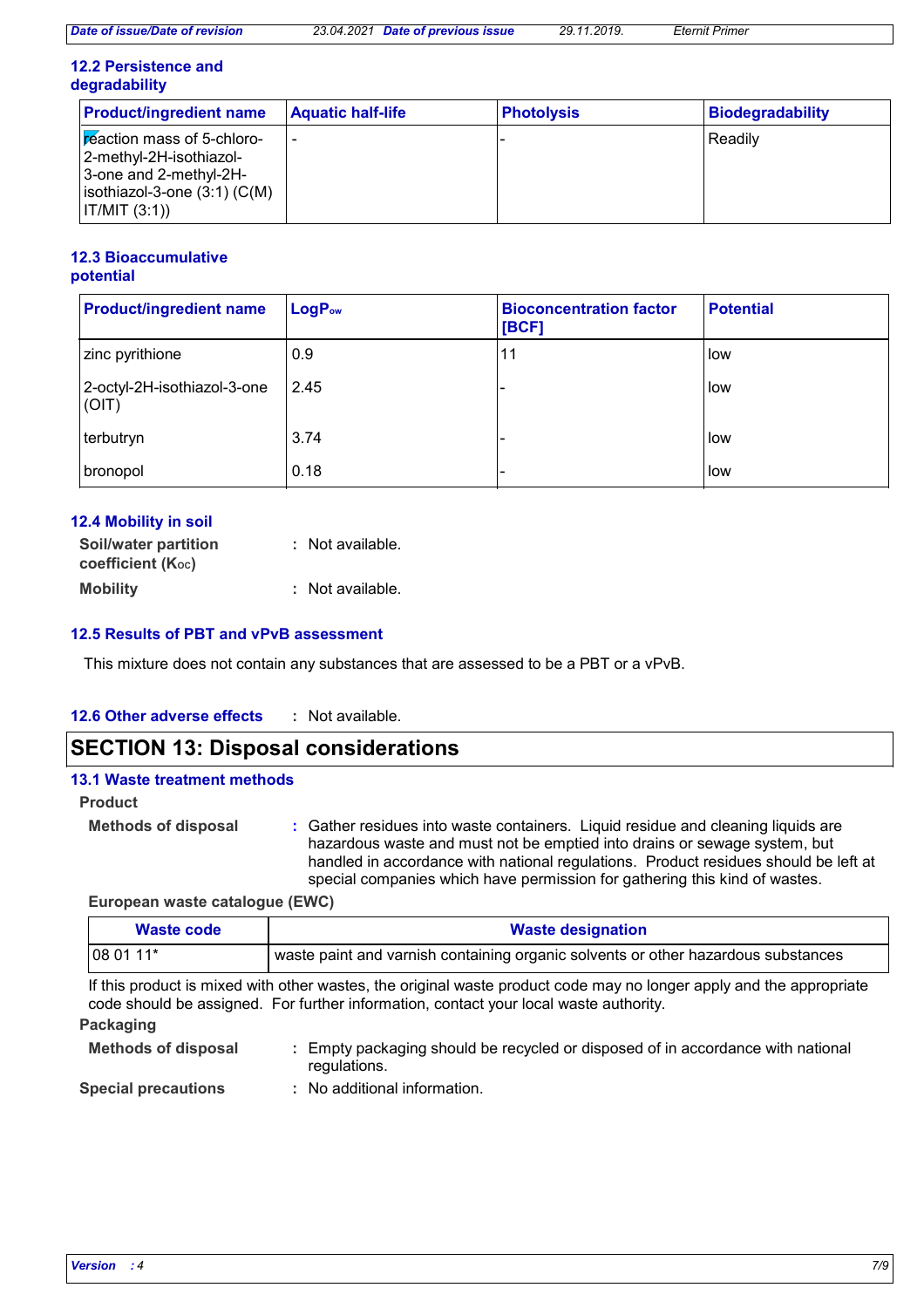#### **12.2 Persistence and degradability**

| <b>Product/ingredient name</b>                                                                                                      | <b>Aquatic half-life</b> | <b>Photolysis</b> | Biodegradability |
|-------------------------------------------------------------------------------------------------------------------------------------|--------------------------|-------------------|------------------|
| reaction mass of 5-chloro-<br>2-methyl-2H-isothiazol-<br>3-one and 2-methyl-2H-<br>$isothiazol-3-one(3:1)(C(M))$<br>  IT/MIT (3:1)) |                          |                   | l Readilv        |

#### **12.3 Bioaccumulative potential**

| <b>Product/ingredient name</b>       | LogP <sub>ow</sub> | <b>Bioconcentration factor</b><br>[BCF] | <b>Potential</b> |
|--------------------------------------|--------------------|-----------------------------------------|------------------|
| zinc pyrithione                      | 0.9                | 11                                      | low              |
| 2-octyl-2H-isothiazol-3-one<br>(OIT) | 2.45               |                                         | low              |
| terbutryn                            | 3.74               |                                         | low              |
| bronopol                             | 0.18               |                                         | low              |

| 12.4 Mobility in soil                            |                  |
|--------------------------------------------------|------------------|
| <b>Soil/water partition</b><br>coefficient (Koc) | : Not available. |
| <b>Mobility</b>                                  | : Not available. |

#### **12.5 Results of PBT and vPvB assessment**

This mixture does not contain any substances that are assessed to be a PBT or a vPvB.

#### **12.6 Other adverse effects :**

## **SECTION 13: Disposal considerations**

| <b>13.1 Waste treatment methods</b> |                                                                                                                                                                                                                                                                                                                                    |
|-------------------------------------|------------------------------------------------------------------------------------------------------------------------------------------------------------------------------------------------------------------------------------------------------------------------------------------------------------------------------------|
| <b>Product</b>                      |                                                                                                                                                                                                                                                                                                                                    |
| <b>Methods of disposal</b>          | : Gather residues into waste containers. Liquid residue and cleaning liquids are<br>hazardous waste and must not be emptied into drains or sewage system, but<br>handled in accordance with national regulations. Product residues should be left at<br>special companies which have permission for gathering this kind of wastes. |
|                                     |                                                                                                                                                                                                                                                                                                                                    |

**European waste catalogue (EWC)**

| <b>Waste code</b> | <b>Waste designation</b>                                                          |  |
|-------------------|-----------------------------------------------------------------------------------|--|
| $1080111*$        | waste paint and varnish containing organic solvents or other hazardous substances |  |
|                   |                                                                                   |  |

If this product is mixed with other wastes, the original waste product code may no longer apply and the appropriate code should be assigned. For further information, contact your local waste authority.

#### **Packaging**

| <b>Methods of disposal</b> | Empty packaging should be recycled or disposed of in accordance with national<br>regulations. |
|----------------------------|-----------------------------------------------------------------------------------------------|
| <b>Special precautions</b> | : No additional information.                                                                  |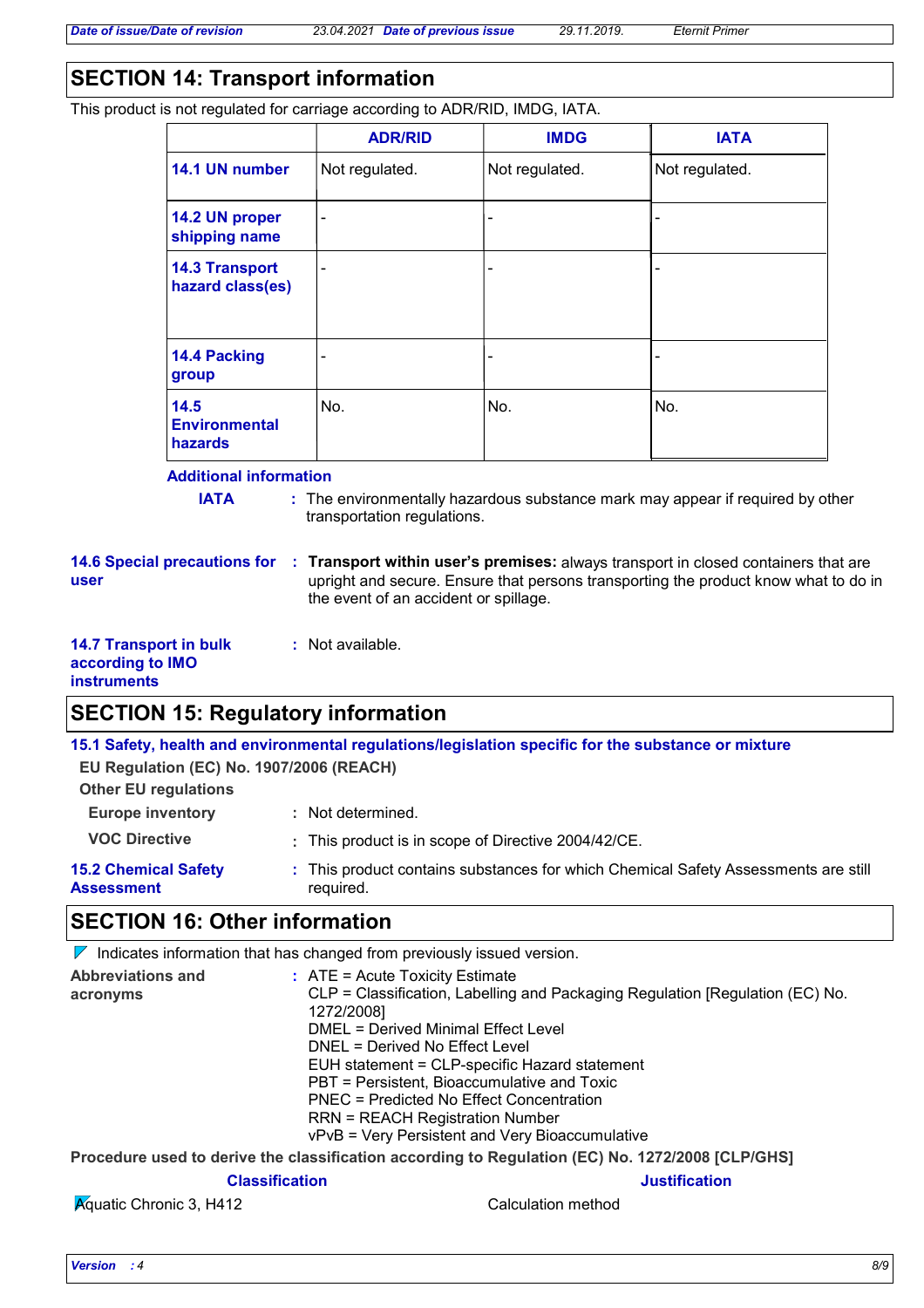## **SECTION 14: Transport information**

This product is not regulated for carriage according to ADR/RID, IMDG, IATA.

|                                           | <b>ADR/RID</b>               | <b>IMDG</b>    | <b>IATA</b>    |
|-------------------------------------------|------------------------------|----------------|----------------|
| 14.1 UN number                            | Not regulated.               | Not regulated. | Not regulated. |
| 14.2 UN proper<br>shipping name           | $\overline{\phantom{a}}$     | -              |                |
| <b>14.3 Transport</b><br>hazard class(es) | $\qquad \qquad \blacksquare$ | -              |                |
| 14.4 Packing<br>group                     |                              | -              |                |
| 14.5<br><b>Environmental</b><br>hazards   | No.                          | No.            | No.            |

#### **Additional information**

**IATA** : The environmentally hazardous substance mark may appear if required by other transportation regulations.

**14.6 Special precautions for user**

**Transport within user's premises:** always transport in closed containers that are **:** upright and secure. Ensure that persons transporting the product know what to do in the event of an accident or spillage.

| <b>14.7 Transport in bulk</b> |  |
|-------------------------------|--|
| according to IMO              |  |
| <b>instruments</b>            |  |

## **SECTION 15: Regulatory information**

**15.1 Safety, health and environmental regulations/legislation specific for the substance or mixture**

**EU Regulation (EC) No. 1907/2006 (REACH)**

**Other EU regulations**

| <b>Europe inventory</b> | : Not determined. |
|-------------------------|-------------------|
|-------------------------|-------------------|

**VOC Directive :** This product is in scope of Directive 2004/42/CE.

**:** Not available.

**15.2 Chemical Safety Assessment** This product contains substances for which Chemical Safety Assessments are still **:** required.

## **SECTION 16: Other information**

 $\nabla$  Indicates information that has changed from previously issued version.

| <b>Abbreviations and</b> | $:$ ATE = Acute Toxicity Estimate             |                                                                                                  |  |
|--------------------------|-----------------------------------------------|--------------------------------------------------------------------------------------------------|--|
| acronyms                 |                                               | CLP = Classification, Labelling and Packaging Regulation [Regulation (EC) No.                    |  |
|                          | 1272/2008]                                    |                                                                                                  |  |
|                          | DMEL = Derived Minimal Effect Level           |                                                                                                  |  |
|                          | DNEL = Derived No Effect Level                |                                                                                                  |  |
|                          | EUH statement = CLP-specific Hazard statement |                                                                                                  |  |
|                          | PBT = Persistent, Bioaccumulative and Toxic   |                                                                                                  |  |
|                          | PNEC = Predicted No Effect Concentration      |                                                                                                  |  |
|                          | <b>RRN = REACH Registration Number</b>        |                                                                                                  |  |
|                          |                                               | vPvB = Very Persistent and Very Bioaccumulative                                                  |  |
|                          |                                               | Procedure used to derive the classification according to Regulation (EC) No. 1272/2008 [CLP/GHS] |  |
|                          | <b>Classification</b>                         | <b>Justification</b>                                                                             |  |

Aquatic Chronic 3, H412 Calculation method